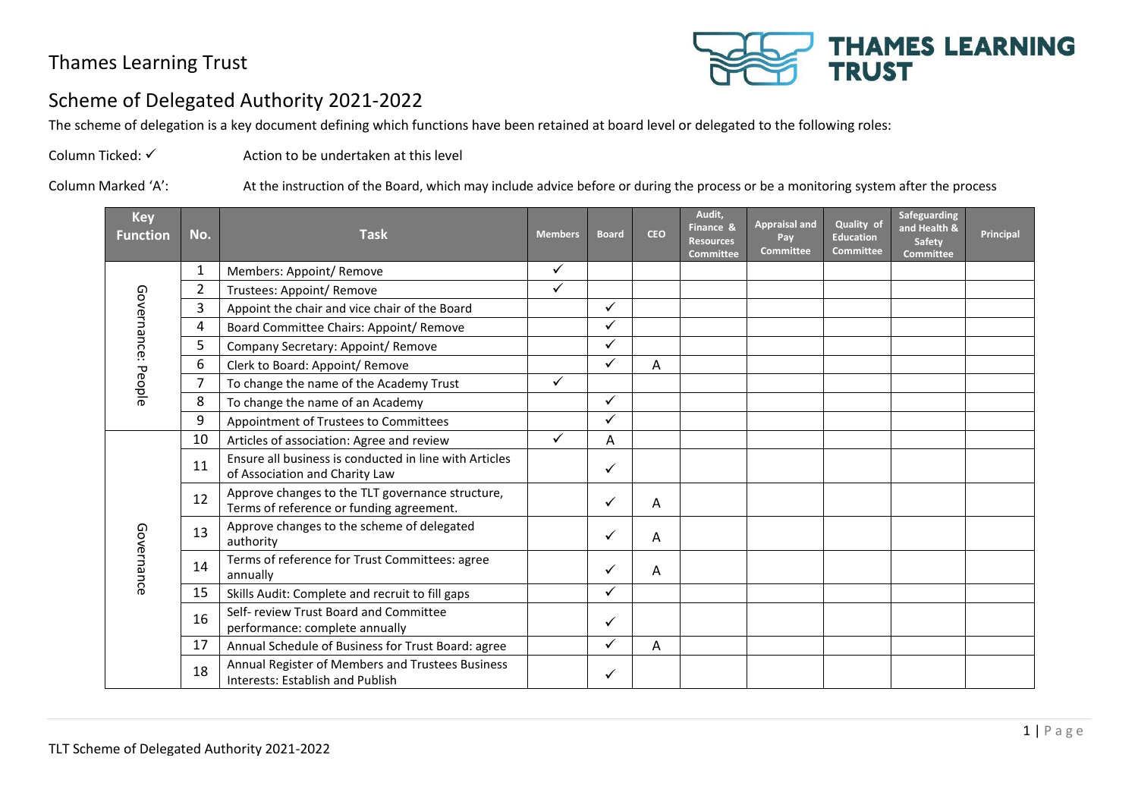

#### Scheme of Delegated Authority 2021-2022

The scheme of delegation is a key document defining which functions have been retained at board level or delegated to the following roles:

Column Ticked: ✓ Action to be undertaken at this level

Column Marked 'A': At the instruction of the Board, which may include advice before or during the process or be a monitoring system after the process

| <b>Key</b><br>Function | No.            | <b>Task</b>                                                                                  | <b>Members</b> | <b>Board</b> | <b>CEO</b> | Audit.<br>Finance &<br><b>Resources</b><br><b>Committee</b> | <b>Appraisal and</b><br>Pay<br><b>Committee</b> | Quality of<br><b>Education</b><br><b>Committee</b> | Safeguarding<br>and Health &<br>Safety<br><b>Committee</b> | Principal |
|------------------------|----------------|----------------------------------------------------------------------------------------------|----------------|--------------|------------|-------------------------------------------------------------|-------------------------------------------------|----------------------------------------------------|------------------------------------------------------------|-----------|
|                        | 1              | Members: Appoint/ Remove                                                                     | $\checkmark$   |              |            |                                                             |                                                 |                                                    |                                                            |           |
|                        | $\overline{2}$ | Trustees: Appoint/ Remove                                                                    | $\checkmark$   |              |            |                                                             |                                                 |                                                    |                                                            |           |
|                        | 3              | Appoint the chair and vice chair of the Board                                                |                | ✓            |            |                                                             |                                                 |                                                    |                                                            |           |
|                        | 4              | Board Committee Chairs: Appoint/ Remove                                                      |                | ✓            |            |                                                             |                                                 |                                                    |                                                            |           |
| Governance: People     | 5              | Company Secretary: Appoint/ Remove                                                           |                | ✓            |            |                                                             |                                                 |                                                    |                                                            |           |
|                        | 6              | Clerk to Board: Appoint/ Remove                                                              |                | ✓            | A          |                                                             |                                                 |                                                    |                                                            |           |
|                        | 7              | To change the name of the Academy Trust                                                      | $\checkmark$   |              |            |                                                             |                                                 |                                                    |                                                            |           |
|                        | 8              | To change the name of an Academy                                                             |                | ✓            |            |                                                             |                                                 |                                                    |                                                            |           |
|                        | 9              | Appointment of Trustees to Committees                                                        |                | $\checkmark$ |            |                                                             |                                                 |                                                    |                                                            |           |
|                        | 10             | Articles of association: Agree and review                                                    | $\checkmark$   | A            |            |                                                             |                                                 |                                                    |                                                            |           |
|                        | 11             | Ensure all business is conducted in line with Articles<br>of Association and Charity Law     |                | ✓            |            |                                                             |                                                 |                                                    |                                                            |           |
|                        | 12             | Approve changes to the TLT governance structure,<br>Terms of reference or funding agreement. |                | ✓            | A          |                                                             |                                                 |                                                    |                                                            |           |
|                        | 13             | Approve changes to the scheme of delegated<br>authority                                      |                | ✓            | A          |                                                             |                                                 |                                                    |                                                            |           |
| Governance             | 14             | Terms of reference for Trust Committees: agree<br>annually                                   |                | ✓            | A          |                                                             |                                                 |                                                    |                                                            |           |
|                        | 15             | Skills Audit: Complete and recruit to fill gaps                                              |                | ✓            |            |                                                             |                                                 |                                                    |                                                            |           |
|                        | 16             | Self- review Trust Board and Committee<br>performance: complete annually                     |                | ✓            |            |                                                             |                                                 |                                                    |                                                            |           |
|                        | 17             | Annual Schedule of Business for Trust Board: agree                                           |                | ✓            | A          |                                                             |                                                 |                                                    |                                                            |           |
|                        | 18             | Annual Register of Members and Trustees Business<br>Interests: Establish and Publish         |                | ✓            |            |                                                             |                                                 |                                                    |                                                            |           |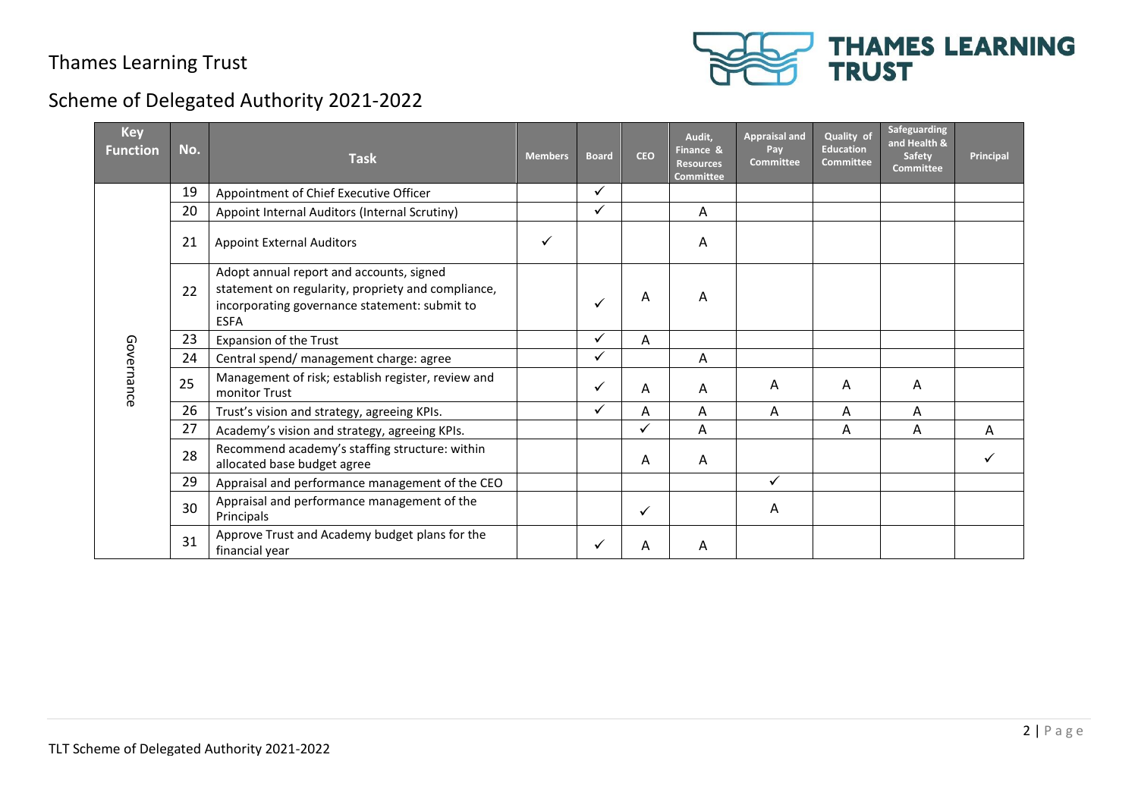

| <b>Key</b><br><b>Function</b> | No. | <b>Task</b>                                                                                                                                                    | <b>Members</b> | <b>Board</b> | <b>CEO</b>   | Audit,<br>Finance &<br><b>Resources</b><br><b>Committee</b> | <b>Appraisal and</b><br>Pay<br><b>Committee</b> | Quality of<br><b>Education</b><br><b>Committee</b> | Safeguarding<br>and Health &<br>Safety<br><b>Committee</b> | Principal |
|-------------------------------|-----|----------------------------------------------------------------------------------------------------------------------------------------------------------------|----------------|--------------|--------------|-------------------------------------------------------------|-------------------------------------------------|----------------------------------------------------|------------------------------------------------------------|-----------|
|                               | 19  | Appointment of Chief Executive Officer                                                                                                                         |                | ✓            |              |                                                             |                                                 |                                                    |                                                            |           |
|                               | 20  | Appoint Internal Auditors (Internal Scrutiny)                                                                                                                  |                | $\checkmark$ |              | A                                                           |                                                 |                                                    |                                                            |           |
|                               | 21  | <b>Appoint External Auditors</b>                                                                                                                               | ✓              |              |              | Α                                                           |                                                 |                                                    |                                                            |           |
|                               | 22  | Adopt annual report and accounts, signed<br>statement on regularity, propriety and compliance,<br>incorporating governance statement: submit to<br><b>ESFA</b> |                | $\checkmark$ | A            | A                                                           |                                                 |                                                    |                                                            |           |
|                               | 23  | Expansion of the Trust                                                                                                                                         |                | ✓            | Α            |                                                             |                                                 |                                                    |                                                            |           |
|                               | 24  | Central spend/ management charge: agree                                                                                                                        |                | $\checkmark$ |              | A                                                           |                                                 |                                                    |                                                            |           |
| Governance                    | 25  | Management of risk; establish register, review and<br>monitor Trust                                                                                            |                | $\checkmark$ | A            | Α                                                           | A                                               | Α                                                  | A                                                          |           |
|                               | 26  | Trust's vision and strategy, agreeing KPIs.                                                                                                                    |                | $\checkmark$ | A            | Α                                                           | A                                               | A                                                  | Α                                                          |           |
|                               | 27  | Academy's vision and strategy, agreeing KPIs.                                                                                                                  |                |              | $\checkmark$ | A                                                           |                                                 | A                                                  | Α                                                          | A         |
|                               | 28  | Recommend academy's staffing structure: within<br>allocated base budget agree                                                                                  |                |              | Α            | A                                                           |                                                 |                                                    |                                                            |           |
|                               | 29  | Appraisal and performance management of the CEO                                                                                                                |                |              |              |                                                             | $\checkmark$                                    |                                                    |                                                            |           |
|                               | 30  | Appraisal and performance management of the<br>Principals                                                                                                      |                |              | ✓            |                                                             | A                                               |                                                    |                                                            |           |
|                               | 31  | Approve Trust and Academy budget plans for the<br>financial year                                                                                               |                | $\checkmark$ | A            | A                                                           |                                                 |                                                    |                                                            |           |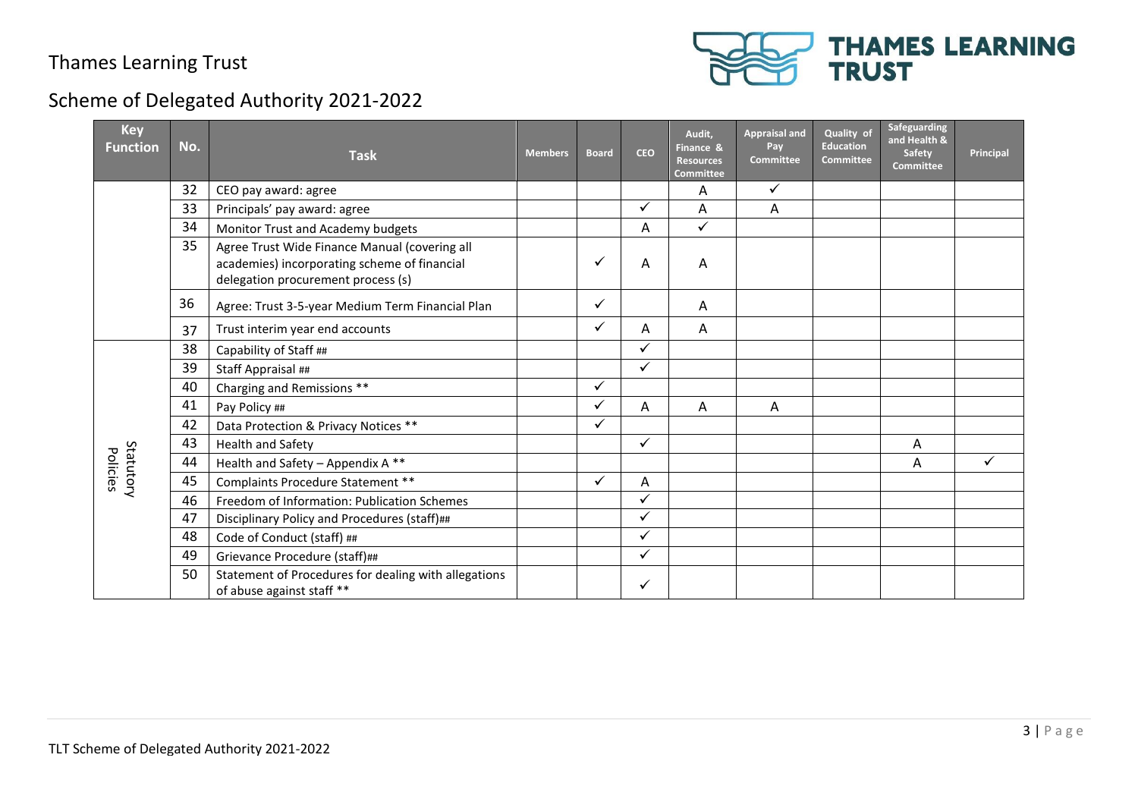

| <b>Key</b><br><b>Function</b> | No. | <b>Task</b>                                                                                                                         | <b>Members</b> | <b>Board</b> | <b>CEO</b>   | Audit,<br>Finance &<br><b>Resources</b><br><b>Committee</b> | <b>Appraisal and</b><br>Pay<br><b>Committee</b> | Quality of<br><b>Education</b><br><b>Committee</b> | Safeguarding<br>and Health &<br>Safety<br><b>Committee</b> | Principal |
|-------------------------------|-----|-------------------------------------------------------------------------------------------------------------------------------------|----------------|--------------|--------------|-------------------------------------------------------------|-------------------------------------------------|----------------------------------------------------|------------------------------------------------------------|-----------|
|                               | 32  | CEO pay award: agree                                                                                                                |                |              |              | A                                                           | $\checkmark$                                    |                                                    |                                                            |           |
|                               | 33  | Principals' pay award: agree                                                                                                        |                |              | ✓            | Α                                                           | Α                                               |                                                    |                                                            |           |
|                               | 34  | Monitor Trust and Academy budgets                                                                                                   |                |              | A            | $\checkmark$                                                |                                                 |                                                    |                                                            |           |
|                               | 35  | Agree Trust Wide Finance Manual (covering all<br>academies) incorporating scheme of financial<br>delegation procurement process (s) |                | ✓            | Α            | A                                                           |                                                 |                                                    |                                                            |           |
|                               | 36  | Agree: Trust 3-5-year Medium Term Financial Plan                                                                                    |                | ✓            |              | A                                                           |                                                 |                                                    |                                                            |           |
|                               | 37  | Trust interim year end accounts                                                                                                     |                | $\checkmark$ | Α            | A                                                           |                                                 |                                                    |                                                            |           |
|                               | 38  | Capability of Staff ##                                                                                                              |                |              | ✓            |                                                             |                                                 |                                                    |                                                            |           |
|                               | 39  | Staff Appraisal ##                                                                                                                  |                |              | ✓            |                                                             |                                                 |                                                    |                                                            |           |
|                               | 40  | Charging and Remissions **                                                                                                          |                | ✓            |              |                                                             |                                                 |                                                    |                                                            |           |
|                               | 41  | Pay Policy ##                                                                                                                       |                | $\checkmark$ | A            | A                                                           | A                                               |                                                    |                                                            |           |
|                               | 42  | Data Protection & Privacy Notices **                                                                                                |                | ✓            |              |                                                             |                                                 |                                                    |                                                            |           |
|                               | 43  | Health and Safety                                                                                                                   |                |              | ✓            |                                                             |                                                 |                                                    | A                                                          |           |
| Statutory<br>Policies         | 44  | Health and Safety - Appendix A **                                                                                                   |                |              |              |                                                             |                                                 |                                                    | A                                                          | ✓         |
|                               | 45  | Complaints Procedure Statement **                                                                                                   |                | $\checkmark$ | A            |                                                             |                                                 |                                                    |                                                            |           |
|                               | 46  | Freedom of Information: Publication Schemes                                                                                         |                |              | ✓            |                                                             |                                                 |                                                    |                                                            |           |
|                               | 47  | Disciplinary Policy and Procedures (staff)##                                                                                        |                |              | ✓            |                                                             |                                                 |                                                    |                                                            |           |
|                               | 48  | Code of Conduct (staff) ##                                                                                                          |                |              | ✓            |                                                             |                                                 |                                                    |                                                            |           |
|                               | 49  | Grievance Procedure (staff)##                                                                                                       |                |              | $\checkmark$ |                                                             |                                                 |                                                    |                                                            |           |
|                               | 50  | Statement of Procedures for dealing with allegations<br>of abuse against staff **                                                   |                |              | ✓            |                                                             |                                                 |                                                    |                                                            |           |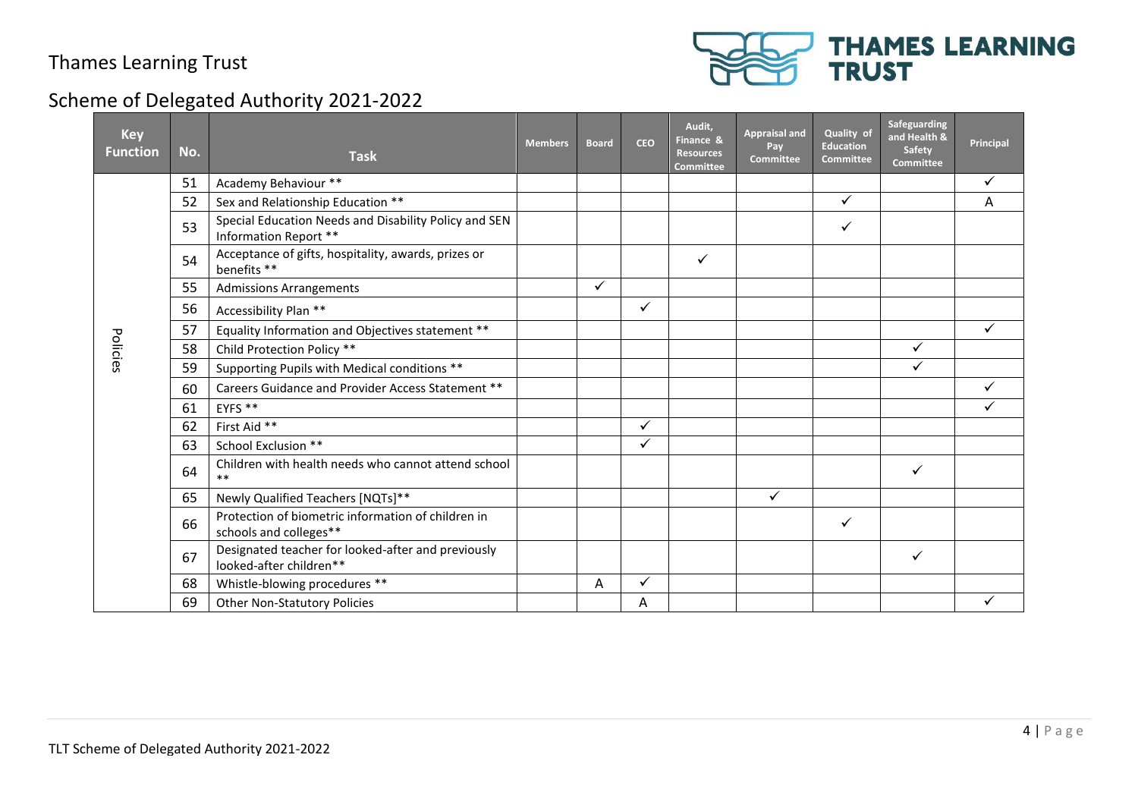

| <b>Key</b><br><b>Function</b> | No. | <b>Task</b>                                                                    | <b>Members</b> | <b>Board</b> | <b>CEO</b>   | Audit,<br>Finance &<br><b>Resources</b><br><b>Committee</b> | <b>Appraisal and</b><br>Pay<br><b>Committee</b> | Quality of<br><b>Education</b><br><b>Committee</b> | Safeguarding<br>and Health &<br><b>Safety</b><br><b>Committee</b> | Principal |
|-------------------------------|-----|--------------------------------------------------------------------------------|----------------|--------------|--------------|-------------------------------------------------------------|-------------------------------------------------|----------------------------------------------------|-------------------------------------------------------------------|-----------|
|                               | 51  | Academy Behaviour **                                                           |                |              |              |                                                             |                                                 |                                                    |                                                                   | ✓         |
|                               | 52  | Sex and Relationship Education **                                              |                |              |              |                                                             |                                                 | $\checkmark$                                       |                                                                   | Α         |
|                               | 53  | Special Education Needs and Disability Policy and SEN<br>Information Report ** |                |              |              |                                                             |                                                 | ✓                                                  |                                                                   |           |
|                               | 54  | Acceptance of gifts, hospitality, awards, prizes or<br>benefits **             |                |              |              | ✓                                                           |                                                 |                                                    |                                                                   |           |
|                               | 55  | <b>Admissions Arrangements</b>                                                 |                | ✓            |              |                                                             |                                                 |                                                    |                                                                   |           |
|                               | 56  | Accessibility Plan **                                                          |                |              | $\checkmark$ |                                                             |                                                 |                                                    |                                                                   |           |
|                               | 57  | Equality Information and Objectives statement **                               |                |              |              |                                                             |                                                 |                                                    |                                                                   | ✓         |
| Policies                      | 58  | Child Protection Policy **                                                     |                |              |              |                                                             |                                                 |                                                    | $\checkmark$                                                      |           |
|                               | 59  | Supporting Pupils with Medical conditions **                                   |                |              |              |                                                             |                                                 |                                                    | ✓                                                                 |           |
|                               | 60  | Careers Guidance and Provider Access Statement **                              |                |              |              |                                                             |                                                 |                                                    |                                                                   | ✓         |
|                               | 61  | EYFS **                                                                        |                |              |              |                                                             |                                                 |                                                    |                                                                   | ✓         |
|                               | 62  | First Aid **                                                                   |                |              | ✓            |                                                             |                                                 |                                                    |                                                                   |           |
|                               | 63  | School Exclusion **                                                            |                |              | ✓            |                                                             |                                                 |                                                    |                                                                   |           |
|                               | 64  | Children with health needs who cannot attend school<br>$***$                   |                |              |              |                                                             |                                                 |                                                    | ✓                                                                 |           |
|                               | 65  | Newly Qualified Teachers [NQTs]**                                              |                |              |              |                                                             | ✓                                               |                                                    |                                                                   |           |
|                               | 66  | Protection of biometric information of children in<br>schools and colleges**   |                |              |              |                                                             |                                                 | $\checkmark$                                       |                                                                   |           |
|                               | 67  | Designated teacher for looked-after and previously<br>looked-after children**  |                |              |              |                                                             |                                                 |                                                    | $\checkmark$                                                      |           |
|                               | 68  | Whistle-blowing procedures **                                                  |                | Α            | ✓            |                                                             |                                                 |                                                    |                                                                   |           |
|                               | 69  | <b>Other Non-Statutory Policies</b>                                            |                |              | Α            |                                                             |                                                 |                                                    |                                                                   |           |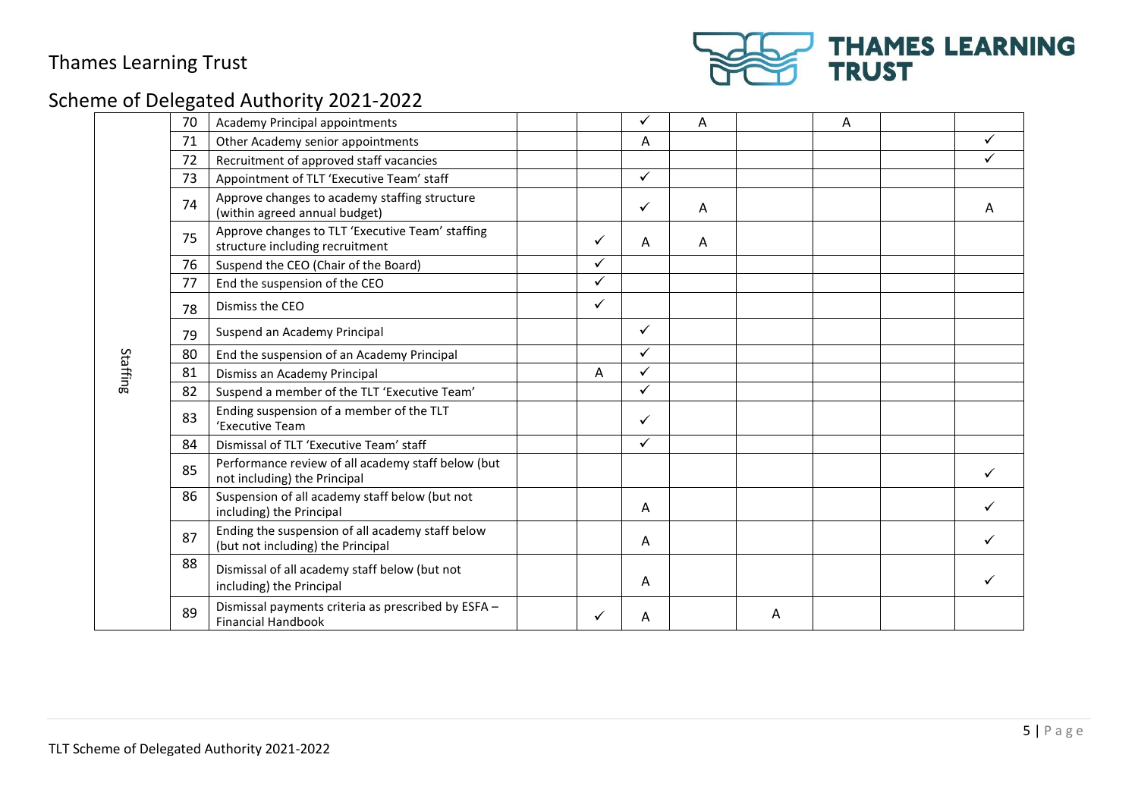

| 70 | Academy Principal appointments                                                        |              | ✓            | A |   | A |   |
|----|---------------------------------------------------------------------------------------|--------------|--------------|---|---|---|---|
| 71 | Other Academy senior appointments                                                     |              | Α            |   |   |   |   |
| 72 | Recruitment of approved staff vacancies                                               |              |              |   |   |   |   |
| 73 | Appointment of TLT 'Executive Team' staff                                             |              | $\checkmark$ |   |   |   |   |
| 74 | Approve changes to academy staffing structure<br>(within agreed annual budget)        |              | $\checkmark$ | A |   |   | A |
| 75 | Approve changes to TLT 'Executive Team' staffing<br>structure including recruitment   | ✓            | A            | A |   |   |   |
| 76 | Suspend the CEO (Chair of the Board)                                                  | $\checkmark$ |              |   |   |   |   |
| 77 | End the suspension of the CEO                                                         | ✓            |              |   |   |   |   |
| 78 | Dismiss the CEO                                                                       | $\checkmark$ |              |   |   |   |   |
| 79 | Suspend an Academy Principal                                                          |              | ✓            |   |   |   |   |
| 80 | End the suspension of an Academy Principal                                            |              | ✓            |   |   |   |   |
| 81 | Dismiss an Academy Principal                                                          | A            | $\checkmark$ |   |   |   |   |
| 82 | Suspend a member of the TLT 'Executive Team'                                          |              | ✓            |   |   |   |   |
| 83 | Ending suspension of a member of the TLT<br>'Executive Team                           |              | ✓            |   |   |   |   |
| 84 | Dismissal of TLT 'Executive Team' staff                                               |              | $\checkmark$ |   |   |   |   |
| 85 | Performance review of all academy staff below (but<br>not including) the Principal    |              |              |   |   |   | ✓ |
| 86 | Suspension of all academy staff below (but not<br>including) the Principal            |              | A            |   |   |   |   |
| 87 | Ending the suspension of all academy staff below<br>(but not including) the Principal |              | A            |   |   |   |   |
| 88 | Dismissal of all academy staff below (but not<br>including) the Principal             |              | Α            |   |   |   |   |
| 89 | Dismissal payments criteria as prescribed by ESFA -<br><b>Financial Handbook</b>      | ✓            | A            |   | A |   |   |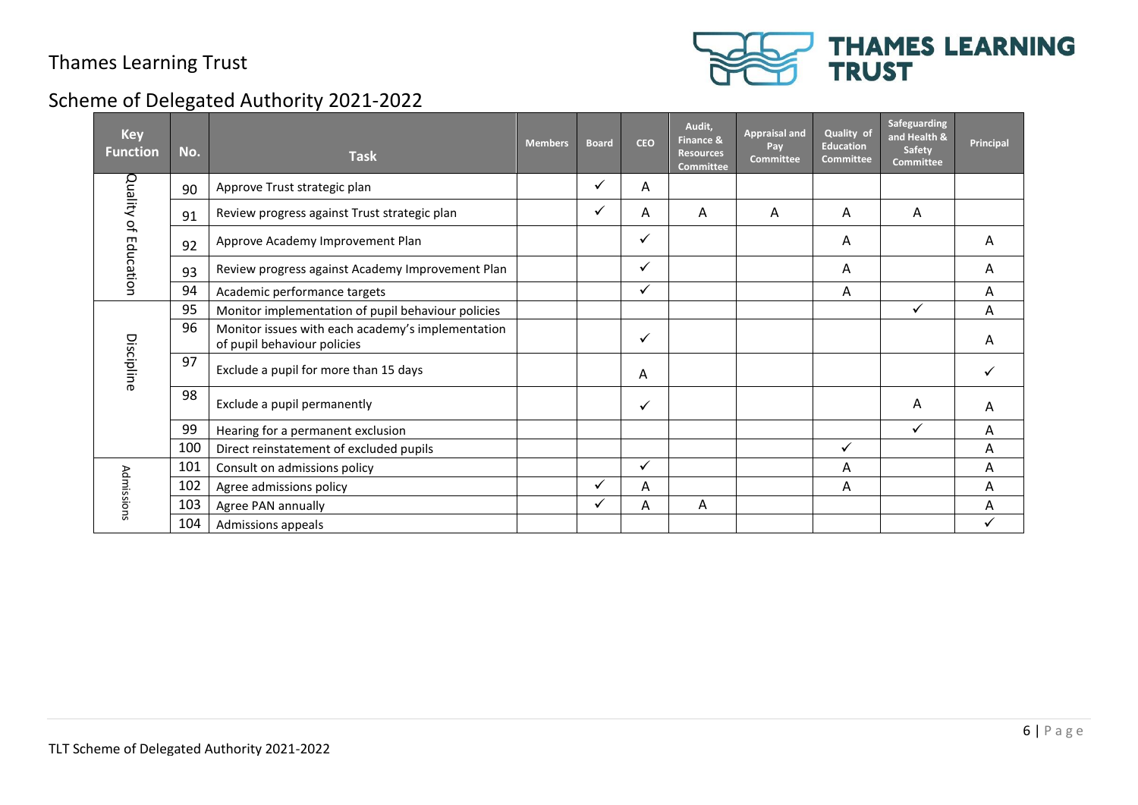

| <b>Key</b><br><b>Function</b> | No. | <b>Task</b>                                                                      | <b>Members</b> | <b>Board</b> | <b>CEO</b>   | Audit,<br><b>Finance &amp;</b><br><b>Resources</b><br><b>Committee</b> | <b>Appraisal and</b><br>Pay<br><b>Committee</b> | Quality of<br><b>Education</b><br><b>Committee</b> | Safeguarding<br>and Health &<br>Safety<br><b>Committee</b> | Principal |
|-------------------------------|-----|----------------------------------------------------------------------------------|----------------|--------------|--------------|------------------------------------------------------------------------|-------------------------------------------------|----------------------------------------------------|------------------------------------------------------------|-----------|
|                               | 90  | Approve Trust strategic plan                                                     |                | ✓            | A            |                                                                        |                                                 |                                                    |                                                            |           |
|                               | 91  | Review progress against Trust strategic plan                                     |                | $\checkmark$ | А            | A                                                                      | A                                               | Α                                                  | A                                                          |           |
| Quality of Education          | 92  | Approve Academy Improvement Plan                                                 |                |              | $\checkmark$ |                                                                        |                                                 | A                                                  |                                                            | Α         |
|                               | 93  | Review progress against Academy Improvement Plan                                 |                |              | $\checkmark$ |                                                                        |                                                 | Α                                                  |                                                            | A         |
|                               | 94  | Academic performance targets                                                     |                |              | $\checkmark$ |                                                                        |                                                 | A                                                  |                                                            | Α         |
|                               | 95  | Monitor implementation of pupil behaviour policies                               |                |              |              |                                                                        |                                                 |                                                    | ✓                                                          | A         |
|                               | 96  | Monitor issues with each academy's implementation<br>of pupil behaviour policies |                |              | $\checkmark$ |                                                                        |                                                 |                                                    |                                                            | Α         |
| Discipline                    | 97  | Exclude a pupil for more than 15 days                                            |                |              | A            |                                                                        |                                                 |                                                    |                                                            |           |
|                               | 98  | Exclude a pupil permanently                                                      |                |              | $\checkmark$ |                                                                        |                                                 |                                                    | Α                                                          | Α         |
|                               | 99  | Hearing for a permanent exclusion                                                |                |              |              |                                                                        |                                                 |                                                    | ✓                                                          | A         |
|                               | 100 | Direct reinstatement of excluded pupils                                          |                |              |              |                                                                        |                                                 | ✓                                                  |                                                            | A         |
|                               | 101 | Consult on admissions policy                                                     |                |              | $\checkmark$ |                                                                        |                                                 | A                                                  |                                                            | A         |
| Admissions                    | 102 | Agree admissions policy                                                          |                | ✓            | A            |                                                                        |                                                 | A                                                  |                                                            | A         |
|                               | 103 | Agree PAN annually                                                               |                | ✓            | Α            | A                                                                      |                                                 |                                                    |                                                            | A         |
|                               | 104 | Admissions appeals                                                               |                |              |              |                                                                        |                                                 |                                                    |                                                            |           |